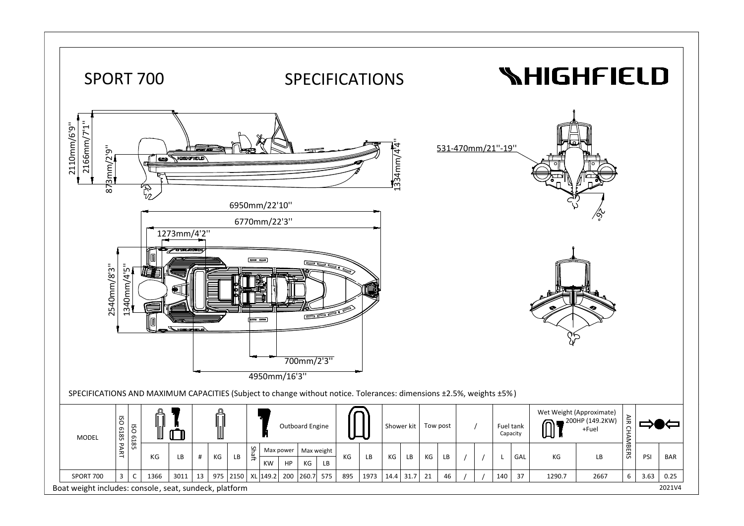